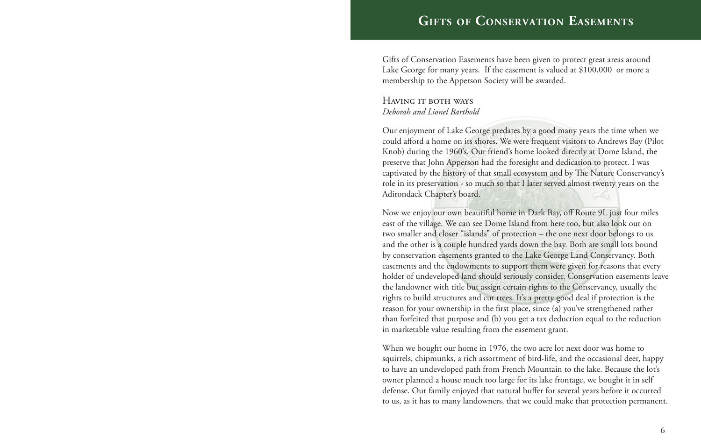## **Gifts of Conservation Easements**

Gifts of Conservation Easements have been given to protect great areas around Lake George for many years. If the easement is valued at \$100,000 or more a membership to the Apperson Society will be awarded.

Having it both ways *Deborah and Lionel Barthold*

Our enjoyment of Lake George predates by a good many years the time when we could afford a home on its shores. We were frequent visitors to Andrews Bay (Pilot Knob) during the 1960's. Our friend's home looked directly at Dome Island, the preserve that John Apperson had the foresight and dedication to protect. I was captivated by the history of that small ecosystem and by The Nature Conservancy's role in its preservation - so much so that I later served almost twenty years on the Adirondack Chapter's board.

Now we enjoy our own beautiful home in Dark Bay, off Route 9L just four miles east of the village. We can see Dome Island from here too, but also look out on two smaller and closer "islands" of protection – the one next door belongs to us and the other is a couple hundred yards down the bay. Both are small lots bound by conservation easements granted to the Lake George Land Conservancy. Both easements and the endowments to support them were given for reasons that every holder of undeveloped land should seriously consider. Conservation easements leave the landowner with title but assign certain rights to the Conservancy, usually the rights to build structures and cut trees. It's a pretty good deal if protection is the reason for your ownership in the first place, since (a) you've strengthened rather than forfeited that purpose and (b) you get a tax deduction equal to the reduction in marketable value resulting from the easement grant.

When we bought our home in 1976, the two acre lot next door was home to squirrels, chipmunks, a rich assortment of bird-life, and the occasional deer, happy to have an undeveloped path from French Mountain to the lake. Because the lot's owner planned a house much too large for its lake frontage, we bought it in self defense. Our family enjoyed that natural buffer for several years before it occurred to us, as it has to many landowners, that we could make that protection permanent.